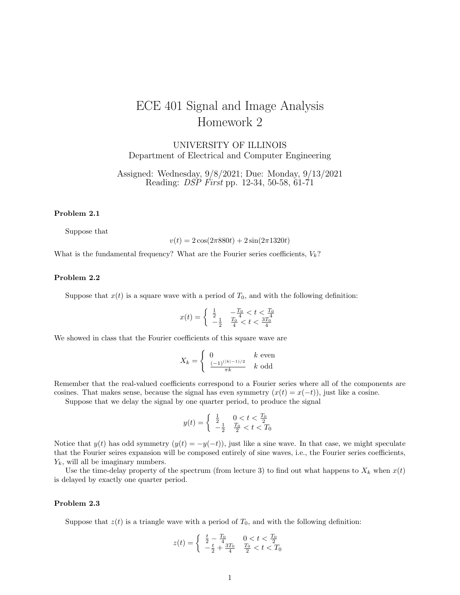# ECE 401 Signal and Image Analysis Homework 2

UNIVERSITY OF ILLINOIS Department of Electrical and Computer Engineering

Assigned: Wednesday, 9/8/2021; Due: Monday, 9/13/2021 Reading: DSP First pp. 12-34, 50-58, 61-71

### Problem 2.1

Suppose that

 $v(t) = 2\cos(2\pi 880t) + 2\sin(2\pi 1320t)$ 

What is the fundamental frequency? What are the Fourier series coefficients,  $V_k$ ?

# Problem 2.2

Suppose that  $x(t)$  is a square wave with a period of  $T_0$ , and with the following definition:

$$
x(t)=\left\{\begin{array}{cc} \frac{1}{2} & -\frac{T_0}{4} < t < \frac{T_0}{4} \\ -\frac{1}{2} & \frac{T_0}{4} < t < \frac{3T_0^4}{4} \end{array}\right.
$$

We showed in class that the Fourier coefficients of this square wave are

$$
X_k = \begin{cases} 0 & k \text{ even} \\ \frac{(-1)^{(|k|-1)/2}}{\pi k} & k \text{ odd} \end{cases}
$$

Remember that the real-valued coefficients correspond to a Fourier series where all of the components are cosines. That makes sense, because the signal has even symmetry  $(x(t) = x(-t))$ , just like a cosine.

Suppose that we delay the signal by one quarter period, to produce the signal

$$
y(t) = \begin{cases} \frac{1}{2} & 0 < t < \frac{T_0}{2} \\ -\frac{1}{2} & \frac{T_0}{2} < t < T_0 \end{cases}
$$

Notice that  $y(t)$  has odd symmetry  $(y(t) = -y(-t))$ , just like a sine wave. In that case, we might speculate that the Fourier seires expansion will be composed entirely of sine waves, i.e., the Fourier series coefficients,  $Y_k$ , will all be imaginary numbers.

Use the time-delay property of the spectrum (from lecture 3) to find out what happens to  $X_k$  when  $x(t)$ is delayed by exactly one quarter period.

#### Problem 2.3

Suppose that  $z(t)$  is a triangle wave with a period of  $T_0$ , and with the following definition:

$$
z(t) = \begin{cases} \frac{t}{2} - \frac{T_0}{4} & 0 < t < \frac{T_0}{2} \\ -\frac{t}{2} + \frac{3T_0}{4} & \frac{T_0}{2} < t < T_0 \end{cases}
$$